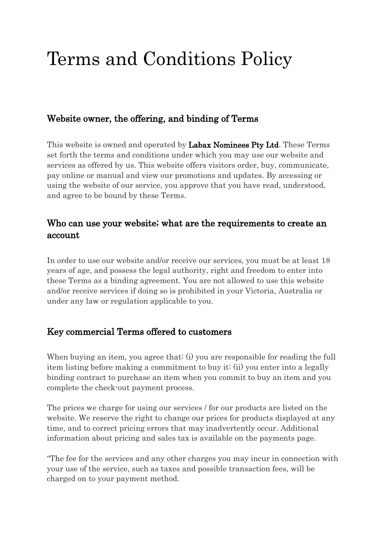# Terms and Conditions Policy

## Website owner, the offering, and binding of Terms

This website is owned and operated by Labax Nominees Pty Ltd. These Terms set forth the terms and conditions under which you may use our website and services as offered by us. This website offers visitors order, buy, communicate, pay online or manual and view our promotions and updates. By accessing or using the website of our service, you approve that you have read, understood, and agree to be bound by these Terms.

# Who can use your website; what are the requirements to create an account

In order to use our website and/or receive our services, you must be at least 18 years of age, and possess the legal authority, right and freedom to enter into these Terms as a binding agreement. You are not allowed to use this website and/or receive services if doing so is prohibited in your Victoria, Australia or under any law or regulation applicable to you.

# Key commercial Terms offered to customers

When buying an item, you agree that: (i) you are responsible for reading the full item listing before making a commitment to buy it: (ii) you enter into a legally binding contract to purchase an item when you commit to buy an item and you complete the check-out payment process.

The prices we charge for using our services / for our products are listed on the website. We reserve the right to change our prices for products displayed at any time, and to correct pricing errors that may inadvertently occur. Additional information about pricing and sales tax is available on the payments page.

"The fee for the services and any other charges you may incur in connection with your use of the service, such as taxes and possible transaction fees, will be charged on to your payment method.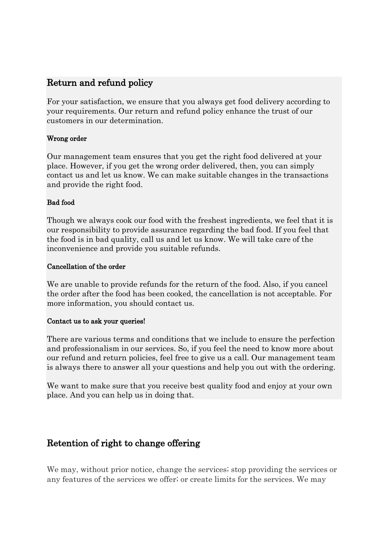## Return and refund policy

For your satisfaction, we ensure that you always get food delivery according to your requirements. Our return and refund policy enhance the trust of our customers in our determination.

#### Wrong order

Our management team ensures that you get the right food delivered at your place. However, if you get the wrong order delivered, then, you can simply contact us and let us know. We can make suitable changes in the transactions and provide the right food.

#### Bad food

Though we always cook our food with the freshest ingredients, we feel that it is our responsibility to provide assurance regarding the bad food. If you feel that the food is in bad quality, call us and let us know. We will take care of the inconvenience and provide you suitable refunds.

#### Cancellation of the order

We are unable to provide refunds for the return of the food. Also, if you cancel the order after the food has been cooked, the cancellation is not acceptable. For more information, you should contact us.

#### Contact us to ask your queries!

There are various terms and conditions that we include to ensure the perfection and professionalism in our services. So, if you feel the need to know more about our refund and return policies, feel free to give us a call. Our management team is always there to answer all your questions and help you out with the ordering.

We want to make sure that you receive best quality food and enjoy at your own place. And you can help us in doing that.

# Retention of right to change offering

We may, without prior notice, change the services; stop providing the services or any features of the services we offer; or create limits for the services. We may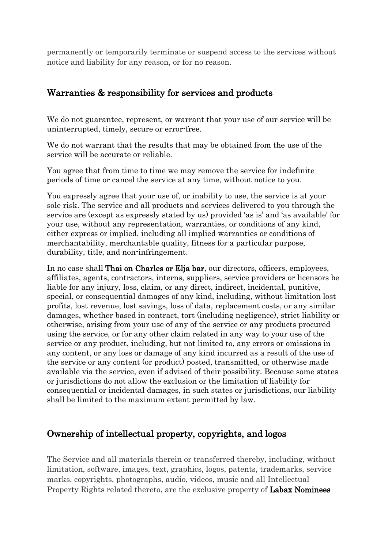permanently or temporarily terminate or suspend access to the services without notice and liability for any reason, or for no reason.

#### Warranties & responsibility for services and products

We do not guarantee, represent, or warrant that your use of our service will be uninterrupted, timely, secure or error-free.

We do not warrant that the results that may be obtained from the use of the service will be accurate or reliable.

You agree that from time to time we may remove the service for indefinite periods of time or cancel the service at any time, without notice to you.

You expressly agree that your use of, or inability to use, the service is at your sole risk. The service and all products and services delivered to you through the service are (except as expressly stated by us) provided 'as is' and 'as available' for your use, without any representation, warranties, or conditions of any kind, either express or implied, including all implied warranties or conditions of merchantability, merchantable quality, fitness for a particular purpose, durability, title, and non-infringement.

In no case shall Thai on Charles or Elja bar, our directors, officers, employees, affiliates, agents, contractors, interns, suppliers, service providers or licensors be liable for any injury, loss, claim, or any direct, indirect, incidental, punitive, special, or consequential damages of any kind, including, without limitation lost profits, lost revenue, lost savings, loss of data, replacement costs, or any similar damages, whether based in contract, tort (including negligence), strict liability or otherwise, arising from your use of any of the service or any products procured using the service, or for any other claim related in any way to your use of the service or any product, including, but not limited to, any errors or omissions in any content, or any loss or damage of any kind incurred as a result of the use of the service or any content (or product) posted, transmitted, or otherwise made available via the service, even if advised of their possibility. Because some states or jurisdictions do not allow the exclusion or the limitation of liability for consequential or incidental damages, in such states or jurisdictions, our liability shall be limited to the maximum extent permitted by law.

# Ownership of intellectual property, copyrights, and logos

The Service and all materials therein or transferred thereby, including, without limitation, software, images, text, graphics, logos, patents, trademarks, service marks, copyrights, photographs, audio, videos, music and all Intellectual Property Rights related thereto, are the exclusive property of Labax Nominees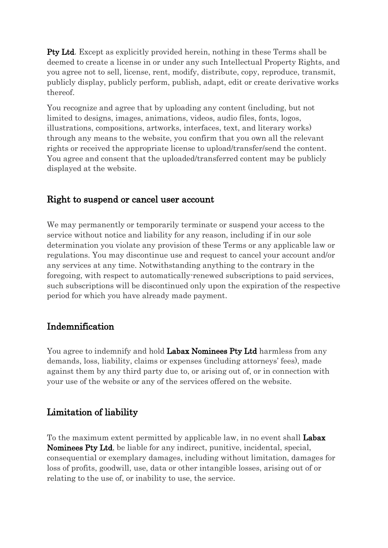Pty Ltd. Except as explicitly provided herein, nothing in these Terms shall be deemed to create a license in or under any such Intellectual Property Rights, and you agree not to sell, license, rent, modify, distribute, copy, reproduce, transmit, publicly display, publicly perform, publish, adapt, edit or create derivative works thereof.

You recognize and agree that by uploading any content (including, but not limited to designs, images, animations, videos, audio files, fonts, logos, illustrations, compositions, artworks, interfaces, text, and literary works) through any means to the website, you confirm that you own all the relevant rights or received the appropriate license to upload/transfer/send the content. You agree and consent that the uploaded/transferred content may be publicly displayed at the website.

## Right to suspend or cancel user account

We may permanently or temporarily terminate or suspend your access to the service without notice and liability for any reason, including if in our sole determination you violate any provision of these Terms or any applicable law or regulations. You may discontinue use and request to cancel your account and/or any services at any time. Notwithstanding anything to the contrary in the foregoing, with respect to automatically-renewed subscriptions to paid services, such subscriptions will be discontinued only upon the expiration of the respective period for which you have already made payment.

# Indemnification

You agree to indemnify and hold Labax Nominees Pty Ltd harmless from any demands, loss, liability, claims or expenses (including attorneys' fees), made against them by any third party due to, or arising out of, or in connection with your use of the website or any of the services offered on the website.

# Limitation of liability

To the maximum extent permitted by applicable law, in no event shall Labax Nominees Pty Ltd, be liable for any indirect, punitive, incidental, special, consequential or exemplary damages, including without limitation, damages for loss of profits, goodwill, use, data or other intangible losses, arising out of or relating to the use of, or inability to use, the service.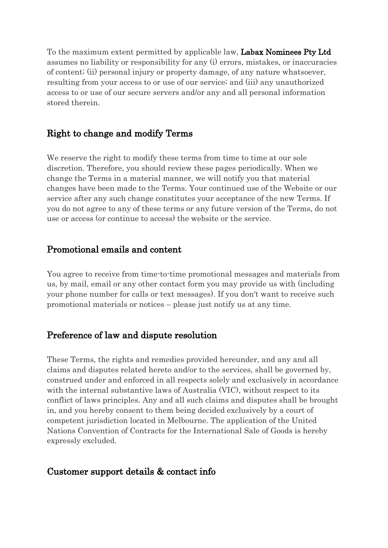To the maximum extent permitted by applicable law, Labax Nominees Pty Ltd assumes no liability or responsibility for any (i) errors, mistakes, or inaccuracies of content; (ii) personal injury or property damage, of any nature whatsoever, resulting from your access to or use of our service; and (iii) any unauthorized access to or use of our secure servers and/or any and all personal information stored therein.

# Right to change and modify Terms

We reserve the right to modify these terms from time to time at our sole discretion. Therefore, you should review these pages periodically. When we change the Terms in a material manner, we will notify you that material changes have been made to the Terms. Your continued use of the Website or our service after any such change constitutes your acceptance of the new Terms. If you do not agree to any of these terms or any future version of the Terms, do not use or access (or continue to access) the website or the service.

## Promotional emails and content

You agree to receive from time-to-time promotional messages and materials from us, by mail, email or any other contact form you may provide us with (including your phone number for calls or text messages). If you don't want to receive such promotional materials or notices – please just notify us at any time.

#### Preference of law and dispute resolution

These Terms, the rights and remedies provided hereunder, and any and all claims and disputes related hereto and/or to the services, shall be governed by, construed under and enforced in all respects solely and exclusively in accordance with the internal substantive laws of Australia (VIC), without respect to its conflict of laws principles. Any and all such claims and disputes shall be brought in, and you hereby consent to them being decided exclusively by a court of competent jurisdiction located in Melbourne. The application of the United Nations Convention of Contracts for the International Sale of Goods is hereby expressly excluded.

# Customer support details & contact info